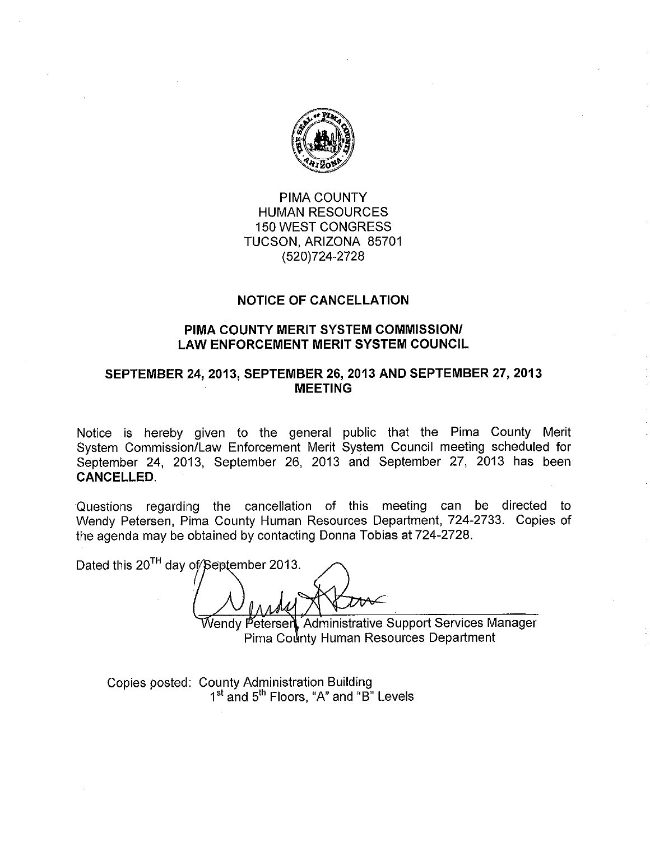

PIMA COUNTY **HUMAN RESOURCES 150 WEST CONGRESS** TUCSON, ARIZONA 85701 (520) 724-2728

## **NOTICE OF CANCELLATION**

## PIMA COUNTY MERIT SYSTEM COMMISSION/ **LAW ENFORCEMENT MERIT SYSTEM COUNCIL**

## SEPTEMBER 24, 2013, SEPTEMBER 26, 2013 AND SEPTEMBER 27, 2013 **MEETING**

Notice is hereby given to the general public that the Pima County Merit System Commission/Law Enforcement Merit System Council meeting scheduled for September 24, 2013, September 26, 2013 and September 27, 2013 has been **CANCELLED.** 

Questions regarding the cancellation of this meeting can be directed to Wendy Petersen, Pima County Human Resources Department, 724-2733. Copies of the agenda may be obtained by contacting Donna Tobias at 724-2728.

Dated this 20<sup>TH</sup> day of/September 2013.

Vendy Petersen, Administrative Support Services Manager Pima County Human Resources Department

Copies posted: County Administration Building 1<sup>st</sup> and 5<sup>th</sup> Floors, "A" and "B" Levels